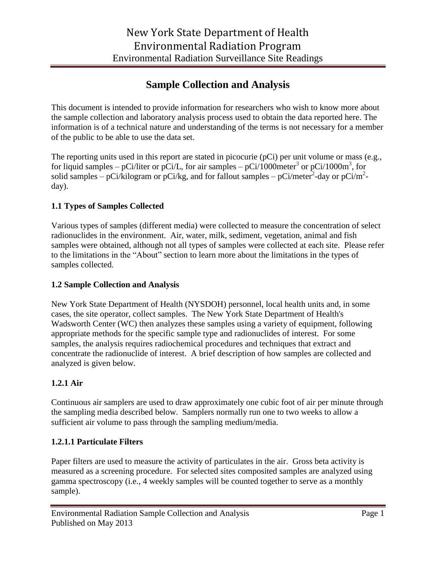# **Sample Collection and Analysis**

This document is intended to provide information for researchers who wish to know more about the sample collection and laboratory analysis process used to obtain the data reported here. The information is of a technical nature and understanding of the terms is not necessary for a member of the public to be able to use the data set.

The reporting units used in this report are stated in picocurie (pCi) per unit volume or mass (e.g., for liquid samples – pCi/liter or pCi/L, for air samples – pCi/1000meter<sup>3</sup> or pCi/1000m<sup>3</sup>, for solid samples – pCi/kilogram or pCi/kg, and for fallout samples – pCi/meter<sup>2</sup>-day or pCi/m<sup>2</sup>day).

# **1.1 Types of Samples Collected**

Various types of samples (different media) were collected to measure the concentration of select radionuclides in the environment. Air, water, milk, sediment, vegetation, animal and fish samples were obtained, although not all types of samples were collected at each site. Please refer to the limitations in the "About" section to learn more about the limitations in the types of samples collected.

# **1.2 Sample Collection and Analysis**

New York State Department of Health (NYSDOH) personnel, local health units and, in some cases, the site operator, collect samples. The New York State Department of Health's Wadsworth Center (WC) then analyzes these samples using a variety of equipment, following appropriate methods for the specific sample type and radionuclides of interest. For some samples, the analysis requires radiochemical procedures and techniques that extract and concentrate the radionuclide of interest. A brief description of how samples are collected and analyzed is given below.

# **1.2.1 Air**

Continuous air samplers are used to draw approximately one cubic foot of air per minute through the sampling media described below. Samplers normally run one to two weeks to allow a sufficient air volume to pass through the sampling medium/media.

# **1.2.1.1 Particulate Filters**

Paper filters are used to measure the activity of particulates in the air. Gross beta activity is measured as a screening procedure. For selected sites composited samples are analyzed using gamma spectroscopy (i.e., 4 weekly samples will be counted together to serve as a monthly sample).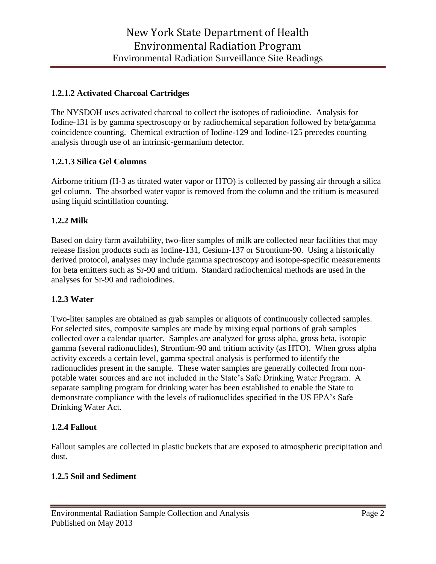## **1.2.1.2 Activated Charcoal Cartridges**

The NYSDOH uses activated charcoal to collect the isotopes of radioiodine. Analysis for Iodine-131 is by gamma spectroscopy or by radiochemical separation followed by beta/gamma coincidence counting. Chemical extraction of Iodine-129 and Iodine-125 precedes counting analysis through use of an intrinsic-germanium detector.

## **1.2.1.3 Silica Gel Columns**

Airborne tritium (H-3 as titrated water vapor or HTO) is collected by passing air through a silica gel column. The absorbed water vapor is removed from the column and the tritium is measured using liquid scintillation counting.

## **1.2.2 Milk**

Based on dairy farm availability, two-liter samples of milk are collected near facilities that may release fission products such as Iodine-131, Cesium-137 or Strontium-90. Using a historically derived protocol, analyses may include gamma spectroscopy and isotope-specific measurements for beta emitters such as Sr-90 and tritium. Standard radiochemical methods are used in the analyses for Sr-90 and radioiodines.

#### **1.2.3 Water**

Two-liter samples are obtained as grab samples or aliquots of continuously collected samples. For selected sites, composite samples are made by mixing equal portions of grab samples collected over a calendar quarter. Samples are analyzed for gross alpha, gross beta, isotopic gamma (several radionuclides), Strontium-90 and tritium activity (as HTO). When gross alpha activity exceeds a certain level, gamma spectral analysis is performed to identify the radionuclides present in the sample. These water samples are generally collected from nonpotable water sources and are not included in the State's Safe Drinking Water Program. A separate sampling program for drinking water has been established to enable the State to demonstrate compliance with the levels of radionuclides specified in the US EPA's Safe Drinking Water Act.

# **1.2.4 Fallout**

Fallout samples are collected in plastic buckets that are exposed to atmospheric precipitation and dust.

#### **1.2.5 Soil and Sediment**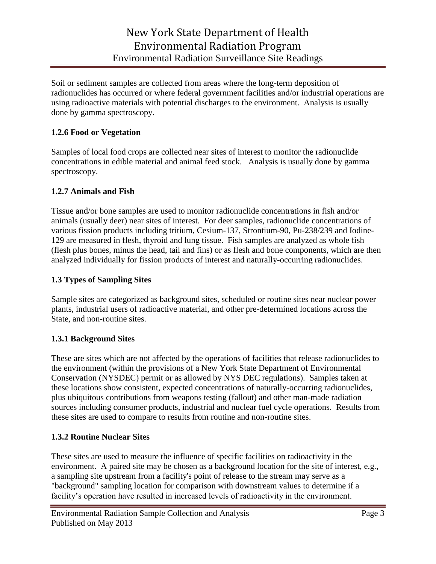Soil or sediment samples are collected from areas where the long-term deposition of radionuclides has occurred or where federal government facilities and/or industrial operations are using radioactive materials with potential discharges to the environment. Analysis is usually done by gamma spectroscopy.

# **1.2.6 Food or Vegetation**

Samples of local food crops are collected near sites of interest to monitor the radionuclide concentrations in edible material and animal feed stock. Analysis is usually done by gamma spectroscopy.

## **1.2.7 Animals and Fish**

Tissue and/or bone samples are used to monitor radionuclide concentrations in fish and/or animals (usually deer) near sites of interest. For deer samples, radionuclide concentrations of various fission products including tritium, Cesium-137, Strontium-90, Pu-238/239 and Iodine-129 are measured in flesh, thyroid and lung tissue. Fish samples are analyzed as whole fish (flesh plus bones, minus the head, tail and fins) or as flesh and bone components, which are then analyzed individually for fission products of interest and naturally-occurring radionuclides.

## **1.3 Types of Sampling Sites**

Sample sites are categorized as background sites, scheduled or routine sites near nuclear power plants, industrial users of radioactive material, and other pre-determined locations across the State, and non-routine sites.

#### **1.3.1 Background Sites**

These are sites which are not affected by the operations of facilities that release radionuclides to the environment (within the provisions of a New York State Department of Environmental Conservation (NYSDEC) permit or as allowed by NYS DEC regulations). Samples taken at these locations show consistent, expected concentrations of naturally-occurring radionuclides, plus ubiquitous contributions from weapons testing (fallout) and other man-made radiation sources including consumer products, industrial and nuclear fuel cycle operations. Results from these sites are used to compare to results from routine and non-routine sites.

#### **1.3.2 Routine Nuclear Sites**

These sites are used to measure the influence of specific facilities on radioactivity in the environment. A paired site may be chosen as a background location for the site of interest, e.g., a sampling site upstream from a facility's point of release to the stream may serve as a "background" sampling location for comparison with downstream values to determine if a facility's operation have resulted in increased levels of radioactivity in the environment.